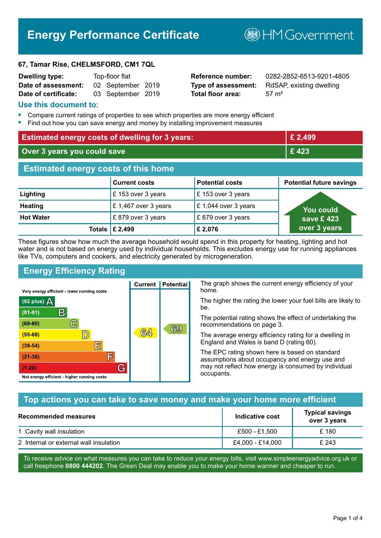# **Energy Performance Certificate**

**B**HMGovernment

#### **67, Tamar Rise, CHELMSFORD, CM1 7QL**

| <b>Dwelling type:</b> | Top-floor flat |                   |  |
|-----------------------|----------------|-------------------|--|
| Date of assessment:   |                | 02 September 2019 |  |
| Date of certificate:  |                | 03 September 2019 |  |

# **Total floor area:** 57 m<sup>2</sup>

**Reference number:** 0282-2852-6513-9201-4805 **Type of assessment:** RdSAP, existing dwelling

#### **Use this document to:**

- **•** Compare current ratings of properties to see which properties are more energy efficient
- **•** Find out how you can save energy and money by installing improvement measures

| <b>Estimated energy costs of dwelling for 3 years:</b> |                           | £ 2,499                |                                 |
|--------------------------------------------------------|---------------------------|------------------------|---------------------------------|
| Over 3 years you could save                            |                           | £423                   |                                 |
| <b>Estimated energy costs of this home</b>             |                           |                        |                                 |
|                                                        | <b>Current costs</b>      | <b>Potential costs</b> | <b>Potential future savings</b> |
| Lighting                                               | £153 over 3 years         | £153 over 3 years      |                                 |
| <b>Heating</b>                                         | £1,467 over 3 years       | £1,044 over 3 years    | <b>You could</b>                |
| <b>Hot Water</b>                                       | £879 over 3 years         | £879 over 3 years      | save £423                       |
|                                                        | Totals $\mathsf{E}$ 2,499 | £2,076                 | over 3 years                    |

These figures show how much the average household would spend in this property for heating, lighting and hot water and is not based on energy used by individual households. This excludes energy use for running appliances like TVs, computers and cookers, and electricity generated by microgeneration.

**Current | Potential** 

 $64$ 

# **Energy Efficiency Rating**

 $\mathbb{C}$ 

 $\mathbb{D}$ 

E

庐

G

Very energy efficient - lower running costs

R

Not energy efficient - higher running costs

(92 plus)  $\Delta$ 

 $(81 - 91)$  $(69 - 80)$ 

 $(55-68)$  $(39-54)$ 

 $(21-38)$ 

 $(1-20)$ 

The graph shows the current energy efficiency of your home.

The higher the rating the lower your fuel bills are likely to be.

The potential rating shows the effect of undertaking the recommendations on page 3.

The average energy efficiency rating for a dwelling in England and Wales is band D (rating 60).

The EPC rating shown here is based on standard assumptions about occupancy and energy use and may not reflect how energy is consumed by individual occupants.

# **Top actions you can take to save money and make your home more efficient**

69

| <b>Recommended measures</b>            | Indicative cost  | <b>Typical savings</b><br>over 3 years |
|----------------------------------------|------------------|----------------------------------------|
| 1 Cavity wall insulation               | £500 - £1.500    | £ 180                                  |
| 2 Internal or external wall insulation | £4,000 - £14,000 | £ 243                                  |

To receive advice on what measures you can take to reduce your energy bills, visit www.simpleenergyadvice.org.uk or call freephone **0800 444202**. The Green Deal may enable you to make your home warmer and cheaper to run.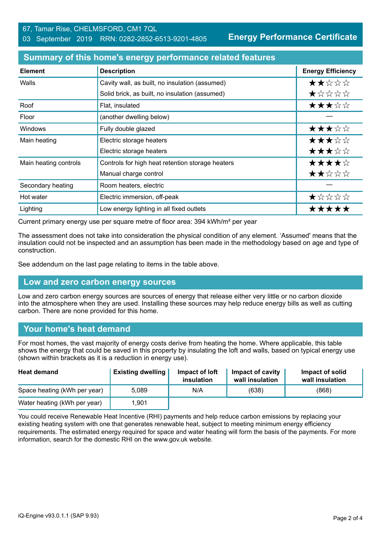**Energy Performance Certificate**

#### **Summary of this home's energy performance related features**

| <b>Element</b>        | <b>Description</b>                               | <b>Energy Efficiency</b> |
|-----------------------|--------------------------------------------------|--------------------------|
| Walls                 | Cavity wall, as built, no insulation (assumed)   | ★★☆☆☆                    |
|                       | Solid brick, as built, no insulation (assumed)   | *****                    |
| Roof                  | Flat, insulated                                  | ★★★☆☆                    |
| Floor                 | (another dwelling below)                         |                          |
| <b>Windows</b>        | Fully double glazed                              | ★★★☆☆                    |
| Main heating          | Electric storage heaters                         | ★★★☆☆                    |
|                       | Electric storage heaters                         | ★★★☆☆                    |
| Main heating controls | Controls for high heat retention storage heaters | ★★★★☆                    |
|                       | Manual charge control                            | ★★☆☆☆                    |
| Secondary heating     | Room heaters, electric                           |                          |
| Hot water             | Electric immersion, off-peak                     | ★☆☆☆☆                    |
| Lighting              | Low energy lighting in all fixed outlets         | *****                    |

Current primary energy use per square metre of floor area: 394 kWh/m² per year

The assessment does not take into consideration the physical condition of any element. 'Assumed' means that the insulation could not be inspected and an assumption has been made in the methodology based on age and type of construction.

See addendum on the last page relating to items in the table above.

#### **Low and zero carbon energy sources**

Low and zero carbon energy sources are sources of energy that release either very little or no carbon dioxide into the atmosphere when they are used. Installing these sources may help reduce energy bills as well as cutting carbon. There are none provided for this home.

#### **Your home's heat demand**

For most homes, the vast majority of energy costs derive from heating the home. Where applicable, this table shows the energy that could be saved in this property by insulating the loft and walls, based on typical energy use (shown within brackets as it is a reduction in energy use).

| <b>Heat demand</b>           | <b>Existing dwelling</b> | Impact of loft<br>insulation | Impact of cavity<br>wall insulation | Impact of solid<br>wall insulation |
|------------------------------|--------------------------|------------------------------|-------------------------------------|------------------------------------|
| Space heating (kWh per year) | 5.089                    | N/A                          | (638)                               | (868)                              |
| Water heating (kWh per year) | 1.901                    |                              |                                     |                                    |

You could receive Renewable Heat Incentive (RHI) payments and help reduce carbon emissions by replacing your existing heating system with one that generates renewable heat, subject to meeting minimum energy efficiency requirements. The estimated energy required for space and water heating will form the basis of the payments. For more information, search for the domestic RHI on the www.gov.uk website.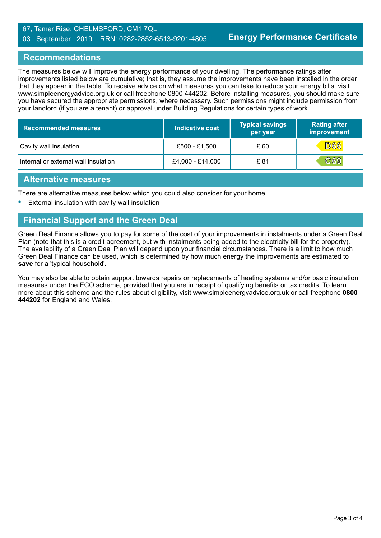#### 67, Tamar Rise, CHELMSFORD, CM1 7QL 03 September 2019 RRN: 0282-2852-6513-9201-4805

### **Recommendations**

The measures below will improve the energy performance of your dwelling. The performance ratings after improvements listed below are cumulative; that is, they assume the improvements have been installed in the order that they appear in the table. To receive advice on what measures you can take to reduce your energy bills, visit www.simpleenergyadvice.org.uk or call freephone 0800 444202. Before installing measures, you should make sure you have secured the appropriate permissions, where necessary. Such permissions might include permission from your landlord (if you are a tenant) or approval under Building Regulations for certain types of work.

| <b>Recommended measures</b>          | Indicative cost  | <b>Typical savings</b><br>per year | <b>Rating after</b><br>improvement |
|--------------------------------------|------------------|------------------------------------|------------------------------------|
| Cavity wall insulation               | £500 - £1,500    | £ 60                               | <b>D66</b>                         |
| Internal or external wall insulation | £4,000 - £14,000 | £ 81                               | CG9                                |

#### **Alternative measures**

There are alternative measures below which you could also consider for your home.

**•** External insulation with cavity wall insulation

# **Financial Support and the Green Deal**

Green Deal Finance allows you to pay for some of the cost of your improvements in instalments under a Green Deal Plan (note that this is a credit agreement, but with instalments being added to the electricity bill for the property). The availability of a Green Deal Plan will depend upon your financial circumstances. There is a limit to how much Green Deal Finance can be used, which is determined by how much energy the improvements are estimated to **save** for a 'typical household'.

You may also be able to obtain support towards repairs or replacements of heating systems and/or basic insulation measures under the ECO scheme, provided that you are in receipt of qualifying benefits or tax credits. To learn more about this scheme and the rules about eligibility, visit www.simpleenergyadvice.org.uk or call freephone **0800 444202** for England and Wales.